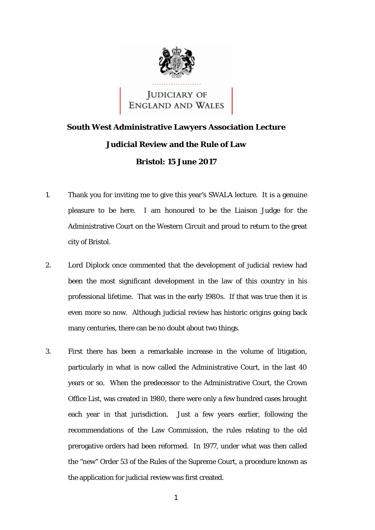

JUDICIARY OF<br>ENGLAND AND WALES

## **South West Administrative Lawyers Association Lecture Judicial Review and the Rule of Law Bristol: 15 June 2017**

- 1. Thank you for inviting me to give this year's SWALA lecture. It is a genuine pleasure to be here. I am honoured to be the Liaison Judge for the Administrative Court on the Western Circuit and proud to return to the great city of Bristol.
- 2. Lord Diplock once commented that the development of judicial review had been the most significant development in the law of this country in his professional lifetime. That was in the early 1980s. If that was true then it is even more so now. Although judicial review has historic origins going back many centuries, there can be no doubt about two things.
- 3. First there has been a remarkable increase in the volume of litigation, particularly in what is now called the Administrative Court, in the last 40 years or so. When the predecessor to the Administrative Court, the Crown Office List, was created in 1980, there were only a few hundred cases brought each year in that jurisdiction. Just a few years earlier, following the recommendations of the Law Commission, the rules relating to the old prerogative orders had been reformed. In 1977, under what was then called the "new" Order 53 of the Rules of the Supreme Court, a procedure known as the application for judicial review was first created.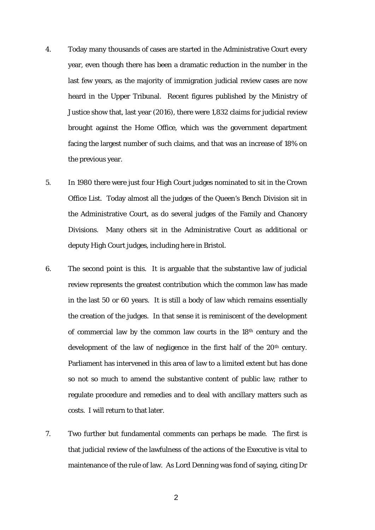- 4. Today many thousands of cases are started in the Administrative Court every year, even though there has been a dramatic reduction in the number in the last few years, as the majority of immigration judicial review cases are now heard in the Upper Tribunal. Recent figures published by the Ministry of Justice show that, last year (2016), there were 1,832 claims for judicial review brought against the Home Office, which was the government department facing the largest number of such claims, and that was an increase of 18% on the previous year.
- 5. In 1980 there were just four High Court judges nominated to sit in the Crown Office List. Today almost all the judges of the Queen's Bench Division sit in the Administrative Court, as do several judges of the Family and Chancery Divisions. Many others sit in the Administrative Court as additional or deputy High Court judges, including here in Bristol.
- development of the law of negligence in the first half of the 20<sup>th</sup> century. development of the law of negligence in the first half of the 20<sup>th</sup> century.<br>Parliament has intervened in this area of law to a limited extent but has done 6. The second point is this. It is arguable that the substantive law of judicial review represents the greatest contribution which the common law has made in the last 50 or 60 years. It is still a body of law which remains essentially the creation of the judges. In that sense it is reminiscent of the development of commercial law by the common law courts in the 18th century and the so not so much to amend the substantive content of public law; rather to regulate procedure and remedies and to deal with ancillary matters such as costs. I will return to that later.
- 7. Two further but fundamental comments can perhaps be made. The first is that judicial review of the lawfulness of the actions of the Executive is vital to maintenance of the rule of law. As Lord Denning was fond of saying, citing Dr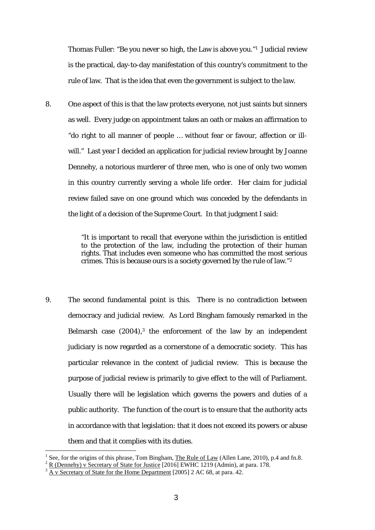Thomas Fuller: "Be you never so high, the Law is above you."1 Judicial review is the practical, day-to-day manifestation of this country's commitment to the rule of law. That is the idea that even the government is subject to the law.

 in this country currently serving a whole life order. Her claim for judicial 8. One aspect of this is that the law protects everyone, not just saints but sinners as well. Every judge on appointment takes an oath or makes an affirmation to "do right to all manner of people … without fear or favour, affection or illwill." Last year I decided an application for judicial review brought by Joanne Dennehy, a notorious murderer of three men, who is one of only two women review failed save on one ground which was conceded by the defendants in the light of a decision of the Supreme Court. In that judgment I said:

> crimes. This is because ours is a society governed by the rule of law."2 "It is important to recall that everyone within the jurisdiction is entitled to the protection of the law, including the protection of their human rights. That includes even someone who has committed the most serious

 purpose of judicial review is primarily to give effect to the will of Parliament. 9. The second fundamental point is this. There is no contradiction between democracy and judicial review. As Lord Bingham famously remarked in the Belmarsh case  $(2004)$ ,<sup>3</sup> the enforcement of the law by an independent judiciary is now regarded as a cornerstone of a democratic society. This has particular relevance in the context of judicial review. This is because the Usually there will be legislation which governs the powers and duties of a public authority. The function of the court is to ensure that the authority acts in accordance with that legislation: that it does not exceed its powers or abuse them and that it complies with its duties.

<sup>1</sup> See, for the origins of this phrase, Tom Bingham, The Rule of Law (Allen Lane, 2010), p.4 and fn.8.

R (Dennehy) v Secretary of State for Justice [2016] EWHC 1219 (Admin), at para. 178.

 A v Secretary of State for the Home Department [2005] 2 AC 68, at para. 42.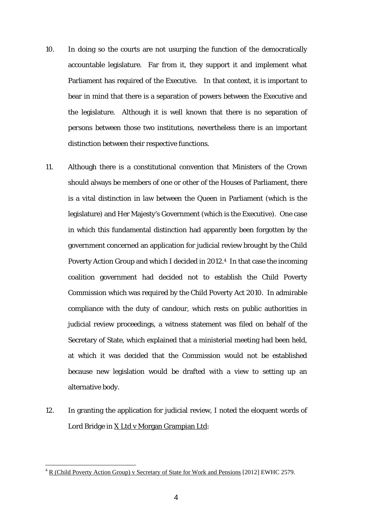- 10. In doing so the courts are not usurping the function of the democratically accountable legislature. Far from it, they support it and implement what Parliament has required of the Executive. In that context, it is important to bear in mind that there is a separation of powers between the Executive and the legislature. Although it is well known that there is no separation of *persons* between those two institutions, nevertheless there is an important distinction between their respective *functions*.
- Commission which was required by the Child Poverty Act 2010. In admirable 11. Although there is a constitutional convention that Ministers of the Crown should always be members of one or other of the Houses of Parliament, there is a vital distinction in law between the Queen in Parliament (which is the legislature) and Her Majesty's Government (which is the Executive). One case in which this fundamental distinction had apparently been forgotten by the government concerned an application for judicial review brought by the Child Poverty Action Group and which I decided in 2012.4 In that case the incoming coalition government had decided not to establish the Child Poverty compliance with the duty of candour, which rests on public authorities in judicial review proceedings, a witness statement was filed on behalf of the Secretary of State, which explained that a ministerial meeting had been held, at which it was decided that the Commission would not be established because new legislation would be drafted with a view to setting up an alternative body.
- 12. In granting the application for judicial review, I noted the eloquent words of Lord Bridge in X Ltd v Morgan Grampian Ltd:

 $4 \text{ R}$  (Child Poverty Action Group) v Secretary of State for Work and Pensions [2012] EWHC 2579.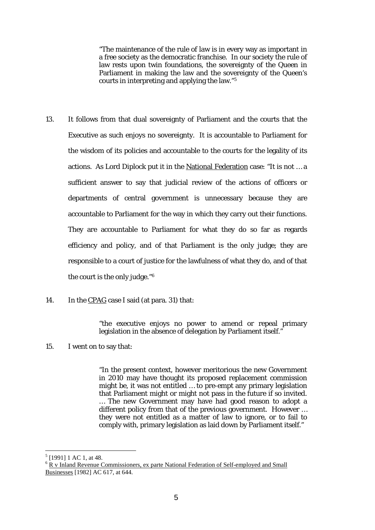"The maintenance of the rule of law is in every way as important in a free society as the democratic franchise. In our society the rule of law rests upon twin foundations, the sovereignty of the Queen in Parliament in making the law and the sovereignty of the Queen's courts in interpreting and applying the law."5

- accountable to Parliament for the way in which they carry out their functions. 13. It follows from that dual sovereignty of Parliament and the courts that the Executive as such enjoys no sovereignty. It is accountable to Parliament for the wisdom of its policies and accountable to the courts for the legality of its actions. As Lord Diplock put it in the National Federation case: "It is not … a sufficient answer to say that judicial review of the actions of officers or departments of central government is unnecessary because they are They are accountable to Parliament for what they do so far as regards. efficiency and policy, and of that Parliament is the only judge; they are responsible to a court of justice for the lawfulness of what they do, and of that the court is the only judge."6
- 14. In the CPAG case I said (at para. 31) that:

"the executive enjoys no power to amend or repeal primary legislation in the absence of delegation by Parliament itself."

15. I went on to say that:

"In the present context, however meritorious the new Government in 2010 may have thought its proposed replacement commission might be, it was not entitled … to pre-empt any primary legislation that Parliament might or might not pass in the future if so invited. … The new Government may have had good reason to adopt a different policy from that of the previous government. However … they were not entitled as a matter of law to ignore, or to fail to comply with, primary legislation as laid down by Parliament itself."

 $<sup>5</sup>$  [1991] 1 AC 1, at 48.</sup>

Businesses [1982] AC 617, at 644. <sup>6</sup> R v Inland Revenue Commissioners, ex parte National Federation of Self-employed and Small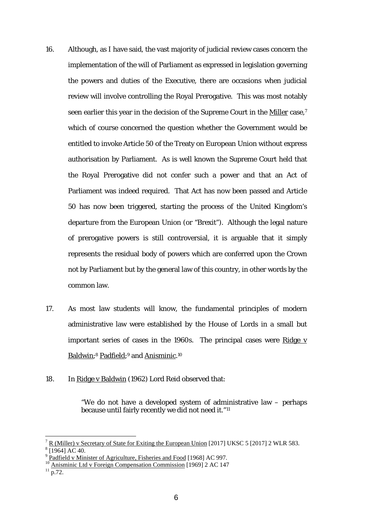- 16. Although, as I have said, the vast majority of judicial review cases concern the implementation of the will of Parliament as expressed in legislation governing the powers and duties of the Executive, there are occasions when judicial review will involve controlling the Royal Prerogative. This was most notably seen earlier this year in the decision of the Supreme Court in the Miller case,<sup>7</sup> which of course concerned the question whether the Government would be entitled to invoke Article 50 of the Treaty on European Union without express authorisation by Parliament. As is well known the Supreme Court held that the Royal Prerogative did not confer such a power and that an Act of Parliament was indeed required. That Act has now been passed and Article 50 has now been triggered, starting the process of the United Kingdom's departure from the European Union (or "Brexit"). Although the legal nature of prerogative powers is still controversial, it is arguable that it simply represents the residual body of powers which are conferred upon the Crown not by Parliament but by the general law of this country, in other words by the common law.
- Baldwin;<sup>8</sup> Padfield;<sup>9</sup> and Anisminic.<sup>10</sup> 17. As most law students will know, the fundamental principles of modern administrative law were established by the House of Lords in a small but important series of cases in the 1960s. The principal cases were Ridge  $v$
- 18. In Ridge v Baldwin (1962) Lord Reid observed that:

"We do not have a developed system of administrative law – perhaps because until fairly recently we did not need it."11

<sup>7</sup>  $\frac{R}{R}$  (Miller) v Secretary of State for Exiting the European Union [2017] UKSC 5 [2017] 2 WLR 583.  $8 \overline{1964}$  AC 40.

<sup>&</sup>lt;sup>9</sup> Padfield v Minister of Agriculture. Fisheries and Food [1968] AC 997.

<sup>&</sup>lt;sup>9</sup> Padfield v Minister of Agriculture, Fisheries and Food [1968] AC 997.<br><sup>10</sup> Anisminic Ltd v Foreign Compensation Commission [1969] 2 AC 147 <sup>10</sup> Anisminic Ltd v Foreign Compensation Commission [1969] 2 AC 147<br><sup>11</sup> p.72.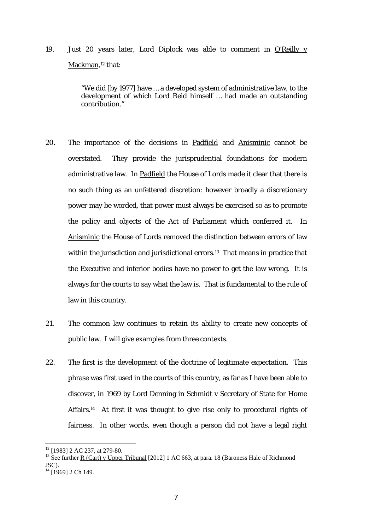19. Just 20 years later, Lord Diplock was able to comment in O'Reilly v Mackman, 12 that:

> "We did [by 1977] have … a developed system of administrative law, to the development of which Lord Reid himself … had made an outstanding contribution."

- 20. The importance of the decisions in Padfield and Anisminic cannot be overstated. They provide the jurisprudential foundations for modern administrative law. In Padfield the House of Lords made it clear that there is no such thing as an unfettered discretion: however broadly a discretionary power may be worded, that power must always be exercised so as to promote the policy and objects of the Act of Parliament which conferred it. In Anisminic the House of Lords removed the distinction between errors of law within the jurisdiction and jurisdictional errors.<sup>13</sup> That means in practice that the Executive and inferior bodies have no power to get the law wrong. It is always for the courts to say what the law is. That is fundamental to the rule of law in this country.
- public law. I will give examples from three contexts. 21. The common law continues to retain its ability to create new concepts of
- 22. The first is the development of the doctrine of legitimate expectation. This phrase was first used in the courts of this country, as far as I have been able to discover, in 1969 by Lord Denning in Schmidt v Secretary of State for Home Affairs.<sup>14</sup> At first it was thought to give rise only to procedural rights of fairness. In other words, even though a person did not have a legal right

<sup>&</sup>lt;sup>12</sup> [1983] 2 AC 237, at 279-80.

<sup>&</sup>lt;sup>13</sup> See further R (Cart) v Upper Tribunal [2012] 1 AC 663, at para. 18 (Baroness Hale of Richmond JSC).

 $14$  [1969] 2 Ch 149.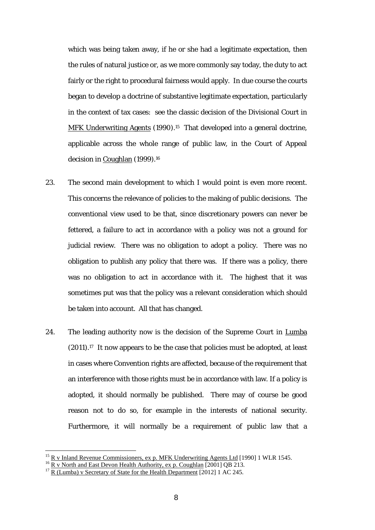fairly or the right to procedural fairness would apply. In due course the courts which was being taken away, if he or she had a legitimate expectation, then the rules of natural justice or, as we more commonly say today, the duty to act began to develop a doctrine of substantive legitimate expectation, particularly in the context of tax cases: see the classic decision of the Divisional Court in MFK Underwriting Agents (1990).<sup>15</sup> That developed into a general doctrine, applicable across the whole range of public law, in the Court of Appeal decision in Coughlan (1999).<sup>16</sup>

- 23. The second main development to which I would point is even more recent. This concerns the relevance of policies to the making of public decisions. The conventional view used to be that, since discretionary powers can never be fettered, a failure to act in accordance with a policy was not a ground for judicial review. There was no obligation to adopt a policy. There was no obligation to publish any policy that there was. If there was a policy, there was no obligation to act in accordance with it. The highest that it was sometimes put was that the policy was a relevant consideration which should be taken into account. All that has changed.
- adopted, it should normally be published. There may of course be good 24. The leading authority now is the decision of the Supreme Court in Lumba (2011).17 It now appears to be the case that policies must be adopted, at least in cases where Convention rights are affected, because of the requirement that an interference with those rights must be in accordance with law. If a policy is reason not to do so, for example in the interests of national security. Furthermore, it will normally be a requirement of public law that a

<sup>&</sup>lt;sup>15</sup> R v Inland Revenue Commissioners, ex p. MFK Underwriting Agents Ltd [1990] 1 WLR 1545.<br><sup>16</sup> R v North and East Devon Health Authority, ex p. Coughlan [2001] QB 213.

 $17$  R (Lumba) v Secretary of State for the Health Department [2012] 1 AC 245.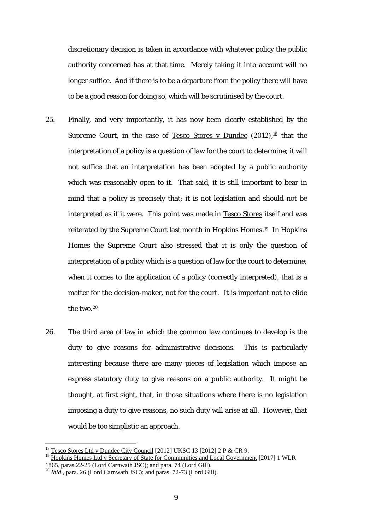discretionary decision is taken in accordance with whatever policy the public authority concerned has at that time. Merely taking it into account will no longer suffice. And if there is to be a departure from the policy there will have to be a good reason for doing so, which will be scrutinised by the court.

- 25. Finally, and very importantly, it has now been clearly established by the Supreme Court, in the case of Tesco Stores v Dundee (2012),<sup>18</sup> that the interpretation of a policy is a question of law for the court to determine; it will not suffice that an interpretation has been adopted by a public authority which was reasonably open to it. That said, it is still important to bear in mind that a policy is precisely that; it is not legislation and should not be interpreted as if it were. This point was made in Tesco Stores itself and was reiterated by the Supreme Court last month in Hopkins Homes.<sup>19</sup> In Hopkins Homes the Supreme Court also stressed that it is only the question of interpretation of a policy which is a question of law for the court to determine; when it comes to the application of a policy (correctly interpreted), that is a matter for the decision-maker, not for the court. It is important not to elide the two.20
- 26. The third area of law in which the common law continues to develop is the duty to give reasons for administrative decisions. This is particularly interesting because there are many pieces of legislation which impose an express statutory duty to give reasons on a public authority. It might be thought, at first sight, that, in those situations where there is no legislation imposing a duty to give reasons, no such duty will arise at all. However, that would be too simplistic an approach.

<sup>&</sup>lt;sup>18</sup> Tesco Stores Ltd v Dundee City Council [2012] UKSC 13 [2012] 2 P & CR 9.

<sup>&</sup>lt;sup>18</sup> Tesco Stores Ltd v Dundee City Council [2012] UKSC 13 [2012] 2 P & CR 9.<br><sup>19</sup> Hopkins Homes Ltd v Secretary of State for Communities and Local Government [2017] 1 WLR 1865, paras.22-25 (Lord Carnwath JSC); and para. 74 (Lord Gill).

<sup>20</sup>*Ibid*., para. 26 (Lord Carnwath JSC); and paras. 72-73 (Lord Gill).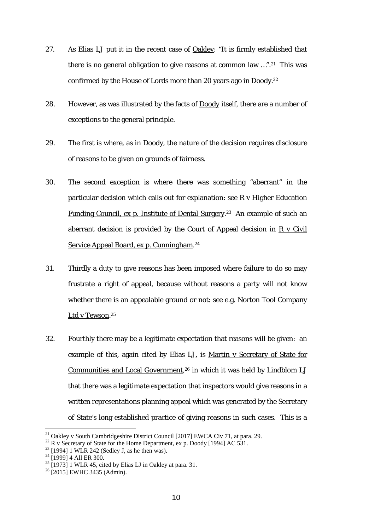- 27. As Elias LJ put it in the recent case of Oakley: "It is firmly established that there is no general obligation to give reasons at common law …".21 This was confirmed by the House of Lords more than 20 years ago in Doody.22
- 28. However, as was illustrated by the facts of **Doody** itself, there are a number of exceptions to the general principle.
- 29. The first is where, as in Doody, the nature of the decision requires disclosure of reasons to be given on grounds of fairness.
- 30. The second exception is where there was something "aberrant" in the particular decision which calls out for explanation: see R v Higher Education Funding Council, ex p. Institute of Dental Surgery. 23 An example of such an aberrant decision is provided by the Court of Appeal decision in  $R \text{ v }$  Civil Service Appeal Board, ex p. Cunningham.<sup>24</sup>
- 31. Thirdly a duty to give reasons has been imposed where failure to do so may frustrate a right of appeal, because without reasons a party will not know whether there is an appealable ground or not: see e.g. Norton Tool Company Ltd v Tewson.<sup>25</sup>
- 32. Fourthly there may be a legitimate expectation that reasons will be given: an example of this, again cited by Elias LJ, is Martin v Secretary of State for Communities and Local Government, 26 in which it was held by Lindblom LJ that there was a legitimate expectation that inspectors would give reasons in a written representations planning appeal which was generated by the Secretary of State's long established practice of giving reasons in such cases. This is a

<sup>&</sup>lt;sup>21</sup> Oakley v South Cambridgeshire District Council [2017] EWCA Civ 71, at para. 29.<br><sup>22</sup> R v Secretary of State for the Home Department, ex p. Doody [1994] AC 531.<br><sup>23</sup> [1994] 1 WLR 242 (Sedley J, as he then was).

 $^{23}$  [1994] 1 WLR 242 (Sedley J, as he then was).<br><sup>24</sup> [1999] 4 All ER 300.

 $25$  [1973] 1 WLR 45, cited by Elias LJ in Oakley at para. 31.

 $26$  [2015] EWHC 3435 (Admin).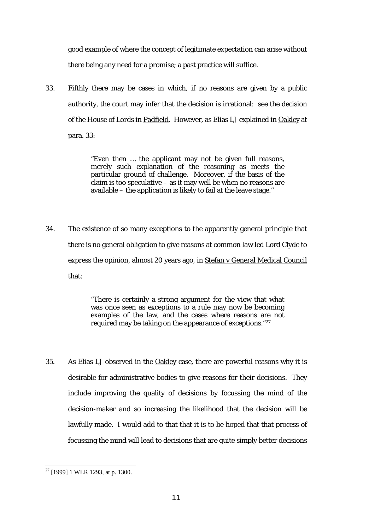good example of where the concept of legitimate expectation can arise without there being any need for a promise; a past practice will suffice.

of the House of Lords in Padfield. However, as Elias LJ explained in Oakley at 33. Fifthly there may be cases in which, if no reasons are given by a public authority, the court may infer that the decision is irrational: see the decision para. 33:

> particular ground of challenge. Moreover, if the basis of the "Even then … the applicant may not be given full reasons, merely such explanation of the reasoning as meets the claim is too speculative – as it may well be when no reasons are available – the application is likely to fail at the leave stage."

34. The existence of so many exceptions to the apparently general principle that there is no general obligation to give reasons at common law led Lord Clyde to express the opinion, almost 20 years ago, in Stefan v General Medical Council that:

> "There is certainly a strong argument for the view that what was once seen as exceptions to a rule may now be becoming examples of the law, and the cases where reasons are not required may be taking on the appearance of exceptions."27

35. As Elias LJ observed in the Oakley case, there are powerful reasons why it is desirable for administrative bodies to give reasons for their decisions. They include improving the quality of decisions by focussing the mind of the decision-maker and so increasing the likelihood that the decision will be lawfully made. I would add to that that it is to be hoped that that process of focussing the mind will lead to decisions that are quite simply better decisions

<sup>1</sup>  $27$  [1999] 1 WLR 1293, at p. 1300.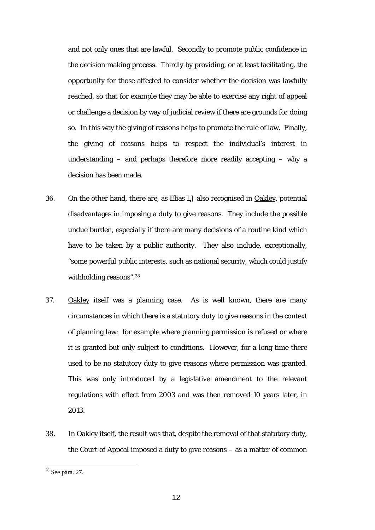so. In this way the giving of reasons helps to promote the rule of law. Finally, and not only ones that are lawful. Secondly to promote public confidence in the decision making process. Thirdly by providing, or at least facilitating, the opportunity for those affected to consider whether the decision was lawfully reached, so that for example they may be able to exercise any right of appeal or challenge a decision by way of judicial review if there are grounds for doing the giving of reasons helps to respect the individual's interest in understanding – and perhaps therefore more readily accepting – why a decision has been made.

- 36. On the other hand, there are, as Elias LJ also recognised in Oakley, potential disadvantages in imposing a duty to give reasons. They include the possible undue burden, especially if there are many decisions of a routine kind which have to be taken by a public authority. They also include, exceptionally, "some powerful public interests, such as national security, which could justify withholding reasons".28
- 37. Oakley itself was a planning case. As is well known, there are many circumstances in which there is a statutory duty to give reasons in the context of planning law: for example where planning permission is refused or where it is granted but only subject to conditions. However, for a long time there used to be no statutory duty to give reasons where permission was granted. This was only introduced by a legislative amendment to the relevant regulations with effect from 2003 and was then removed 10 years later, in 2013.
- 38. In Oakley itself, the result was that, despite the removal of that statutory duty, the Court of Appeal imposed a duty to give reasons – as a matter of common

 $28$  See para. 27.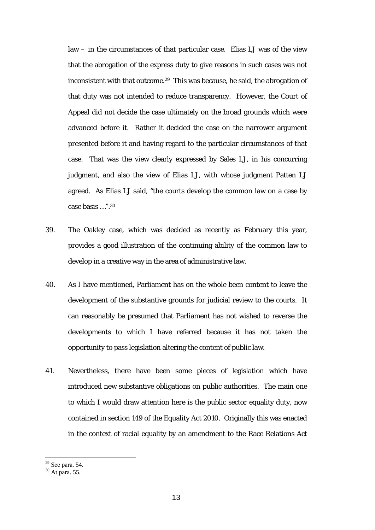case basis …".30 law – in the circumstances of that particular case. Elias LJ was of the view that the abrogation of the express duty to give reasons in such cases was not inconsistent with that outcome.29 This was because, he said, the abrogation of that duty was not intended to reduce transparency. However, the Court of Appeal did not decide the case ultimately on the broad grounds which were advanced before it. Rather it decided the case on the narrower argument presented before it and having regard to the particular circumstances of that case. That was the view clearly expressed by Sales LJ, in his concurring judgment, and also the view of Elias LJ, with whose judgment Patten LJ agreed. As Elias LJ said, "the courts develop the common law on a case by

- develop in a creative way in the area of administrative law. 39. The Oakley case, which was decided as recently as February this year, provides a good illustration of the continuing ability of the common law to
- 40. As I have mentioned, Parliament has on the whole been content to leave the development of the substantive grounds for judicial review to the courts. It can reasonably be presumed that Parliament has not wished to reverse the developments to which I have referred because it has not taken the opportunity to pass legislation altering the content of public law.
- 41. Nevertheless, there have been some pieces of legislation which have introduced new substantive obligations on public authorities. The main one to which I would draw attention here is the public sector equality duty, now contained in section 149 of the Equality Act 2010. Originally this was enacted in the context of racial equality by an amendment to the Race Relations Act

 $29$  See para. 54.

 $30$  At para. 55.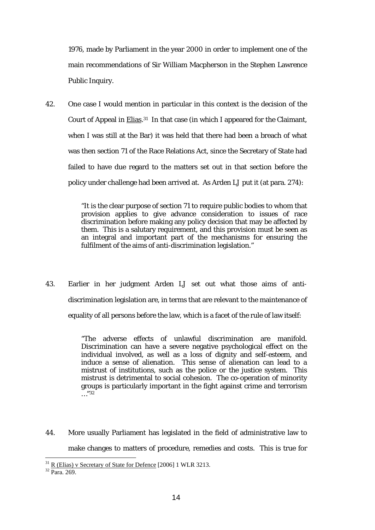1976, made by Parliament in the year 2000 in order to implement one of the main recommendations of Sir William Macpherson in the Stephen Lawrence Public Inquiry.

42. One case I would mention in particular in this context is the decision of the Court of Appeal in **Elias.**<sup>31</sup> In that case (in which I appeared for the Claimant, when I was still at the Bar) it was held that there had been a breach of what was then section 71 of the Race Relations Act, since the Secretary of State had failed to have due regard to the matters set out in that section *before* the policy under challenge had been arrived at. As Arden LJ put it (at para. 274):

> "It is the clear purpose of section 71 to require public bodies to whom that provision applies to give advance consideration to issues of race discrimination before making any policy decision that may be affected by them. This is a salutary requirement, and this provision must be seen as an integral and important part of the mechanisms for ensuring the fulfilment of the aims of anti-discrimination legislation."

43. Earlier in her judgment Arden LJ set out what those aims of antidiscrimination legislation are, in terms that are relevant to the maintenance of equality of all persons before the law, which is a facet of the rule of law itself:

> "The adverse effects of unlawful discrimination are manifold. Discrimination can have a severe negative psychological effect on the individual involved, as well as a loss of dignity and self-esteem, and induce a sense of alienation. This sense of alienation can lead to a mistrust of institutions, such as the police or the justice system. This mistrust is detrimental to social cohesion. The co-operation of minority groups is particularly important in the fight against crime and terrorism  $\ldots$  "32

 make changes to matters of procedure, remedies and costs. This is true for 44. More usually Parliament has legislated in the field of administrative law to

 $\frac{31}{32}$  R (Elias) v Secretary of State for Defence [2006] 1 WLR 3213. Para. 269.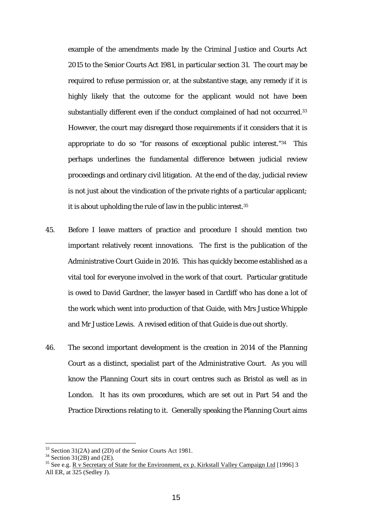substantially different even if the conduct complained of had not occurred.<sup>33</sup> example of the amendments made by the Criminal Justice and Courts Act 2015 to the Senior Courts Act 1981, in particular section 31. The court may be required to refuse permission or, at the substantive stage, any remedy if it is highly likely that the outcome for the applicant would not have been However, the court may disregard those requirements if it considers that it is appropriate to do so "for reasons of exceptional public interest."34 This perhaps underlines the fundamental difference between judicial review proceedings and ordinary civil litigation. At the end of the day, judicial review is not just about the vindication of the private rights of a particular applicant; it is about upholding the rule of law in the public interest.35

- 45. Before I leave matters of practice and procedure I should mention two important relatively recent innovations. The first is the publication of the Administrative Court Guide in 2016. This has quickly become established as a vital tool for everyone involved in the work of that court. Particular gratitude is owed to David Gardner, the lawyer based in Cardiff who has done a lot of the work which went into production of that Guide, with Mrs Justice Whipple and Mr Justice Lewis. A revised edition of that Guide is due out shortly.
- 46. The second important development is the creation in 2014 of the Planning Court as a distinct, specialist part of the Administrative Court. As you will know the Planning Court sits in court centres such as Bristol as well as in London. It has its own procedures, which are set out in Part 54 and the Practice Directions relating to it. Generally speaking the Planning Court aims

<sup>33</sup> Section 31(2A) and (2D) of the Senior Courts Act 1981.

 $34$  Section 31(2B) and (2E).

<sup>&</sup>lt;sup>35</sup> See e.g. R v Secretary of State for the Environment, ex p. Kirkstall Valley Campaign Ltd [1996] 3 All ER, at 325 (Sedley J).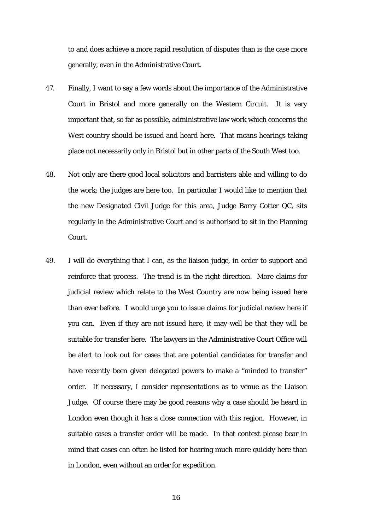to and does achieve a more rapid resolution of disputes than is the case more generally, even in the Administrative Court.

- 47. Finally, I want to say a few words about the importance of the Administrative Court in Bristol and more generally on the Western Circuit. It is very important that, so far as possible, administrative law work which concerns the West country should be issued and heard here. That means hearings taking place not necessarily only in Bristol but in other parts of the South West too.
- 48. Not only are there good local solicitors and barristers able and willing to do the work; the judges are here too. In particular I would like to mention that the new Designated Civil Judge for this area, Judge Barry Cotter QC, sits regularly in the Administrative Court and is authorised to sit in the Planning Court.
- 49. I will do everything that I can, as the liaison judge, in order to support and reinforce that process. The trend is in the right direction. More claims for judicial review which relate to the West Country are now being issued here than ever before. I would urge you to issue claims for judicial review here if you can. Even if they are not issued here, it may well be that they will be suitable for transfer here. The lawyers in the Administrative Court Office will be alert to look out for cases that are potential candidates for transfer and have recently been given delegated powers to make a "minded to transfer" order. If necessary, I consider representations as to venue as the Liaison Judge. Of course there may be good reasons why a case should be heard in London even though it has a close connection with this region. However, in suitable cases a transfer order will be made. In that context please bear in mind that cases can often be listed for hearing much more quickly here than in London, even without an order for expedition.